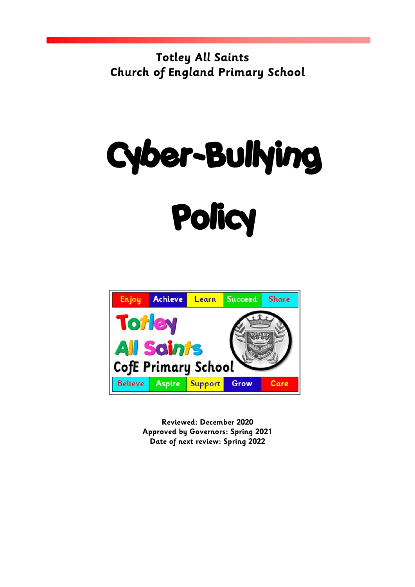**Totley All Saints Church of England Primary School**

# Cyber-Bullying **Policy**



**Reviewed: December 2020 Approved by Governors: Spring 2021 Date of next review: Spring 2022**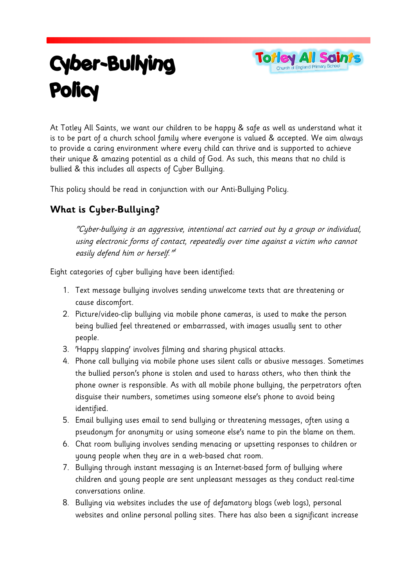# Cyber-Bullying Policy



At Totley All Saints, we want our children to be happy & safe as well as understand what it is to be part of a church school family where everyone is valued & accepted. We aim always to provide a caring environment where every child can thrive and is supported to achieve their unique & amazing potential as a child of God. As such, this means that no child is bullied & this includes all aspects of Cyber Bullying.

This policy should be read in conjunction with our Anti-Bullying Policy.

## **What is Cyber-Bullying?**

"Cyber-bullying is an aggressive, intentional act carried out by a group or individual, using electronic forms of contact, repeatedly over time against a victim who cannot easily defend him or herself." 1

Eight categories of cyber bullying have been identified:

- 1. Text message bullying involves sending unwelcome texts that are threatening or cause discomfort.
- 2. Picture/video-clip bullying via mobile phone cameras, is used to make the person being bullied feel threatened or embarrassed, with images usually sent to other people.
- 3. 'Happy slapping' involves filming and sharing physical attacks.
- 4. Phone call bullying via mobile phone uses silent calls or abusive messages. Sometimes the bullied person's phone is stolen and used to harass others, who then think the phone owner is responsible. As with all mobile phone bullying, the perpetrators often disguise their numbers, sometimes using someone else's phone to avoid being identified.
- 5. Email bullying uses email to send bullying or threatening messages, often using a pseudonym for anonymity or using someone else's name to pin the blame on them.
- 6. Chat room bullying involves sending menacing or upsetting responses to children or young people when they are in a web-based chat room.
- 7. Bullying through instant messaging is an Internet-based form of bullying where children and young people are sent unpleasant messages as they conduct real-time conversations online.
- 8. Bullying via websites includes the use of defamatory blogs (web logs), personal websites and online personal polling sites. There has also been a significant increase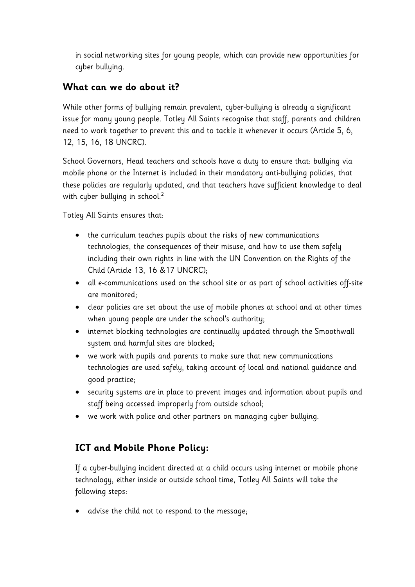in social networking sites for young people, which can provide new opportunities for cyber bullying.

#### **What can we do about it?**

While other forms of bullying remain prevalent, cyber-bullying is already a significant issue for many young people. Totley All Saints recognise that staff, parents and children need to work together to prevent this and to tackle it whenever it occurs (Article 5, 6, 12, 15, 16, 18 UNCRC).

School Governors, Head teachers and schools have a duty to ensure that: bullying via mobile phone or the Internet is included in their mandatory anti-bullying policies, that these policies are regularly updated, and that teachers have sufficient knowledge to deal with cyber bullying in school.<sup>2</sup>

Totley All Saints ensures that:

- the curriculum teaches pupils about the risks of new communications technologies, the consequences of their misuse, and how to use them safely including their own rights in line with the UN Convention on the Rights of the Child (Article 13, 16 &17 UNCRC);
- all e-communications used on the school site or as part of school activities off-site are monitored;
- clear policies are set about the use of mobile phones at school and at other times when young people are under the school's authority;
- internet blocking technologies are continually updated through the Smoothwall system and harmful sites are blocked;
- we work with pupils and parents to make sure that new communications technologies are used safely, taking account of local and national guidance and good practice;
- security systems are in place to prevent images and information about pupils and staff being accessed improperly from outside school;
- we work with police and other partners on managing cyber bullying.

#### **ICT and Mobile Phone Policy:**

If a cyber-bullying incident directed at a child occurs using internet or mobile phone technology, either inside or outside school time, Totley All Saints will take the following steps:

• advise the child not to respond to the message;